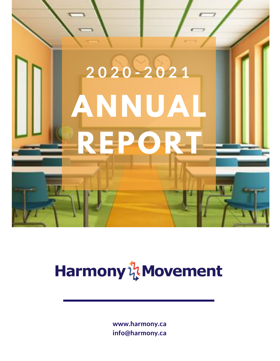

### Harmony & Movement

**www.harmony.ca info@harmony.ca**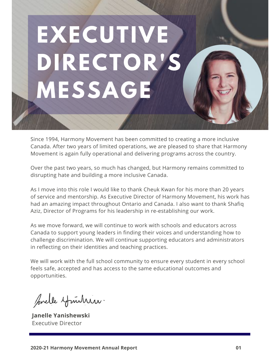# **EXECUTIVE DIRECTOR'S MESSAGE**

Since 1994, Harmony Movement has been committed to creating a more inclusive Canada. After two years of limited operations, we are pleased to share that Harmony Movement is again fully operational and delivering programs across the country.

Over the past two years, so much has changed, but Harmony remains committed to disrupting hate and building a more inclusive Canada.

As I move into this role I would like to thank Cheuk Kwan for his more than 20 years of service and mentorship. As Executive Director of Harmony Movement, his work has had an amazing impact throughout Ontario and Canada. I also want to thank Shafiq Aziz, Director of Programs for his leadership in re-establishing our work.

As we move forward, we will continue to work with schools and educators across Canada to support young leaders in finding their voices and understanding how to challenge discrimination. We will continue supporting educators and administrators in reflecting on their identities and teaching practices.

We will work with the full school community to ensure every student in every school feels safe, accepted and has access to the same educational outcomes and opportunities.

prelle ymitrin.

**Janelle Yanishewski** Executive Director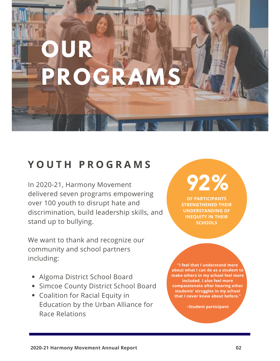### **OUR PROGRAMS**

#### **Y O U T H P R O G R A M S**

In 2020-21, Harmony Movement delivered seven programs empowering over 100 youth to disrupt hate and discrimination, build leadership skills, and stand up to bullying.

We want to thank and recognize our community and school partners including:

- Algoma District School Board
- **Simcoe County District School Board**
- Coalition for Racial Equity in Education by the Urban Alliance for Race Relations

**92% OF PARTICIPANTS**

**STRENGTHENED THEIR UNDERSTANDING OF INEQUITY IN THEIR SCHOOLS**

**"I feel that I understand more about what I can do as a student to make others in my school feel more included. I also feel more compassionate after hearing other students' struggles in my school that I never knew about before."**

**~Student participant**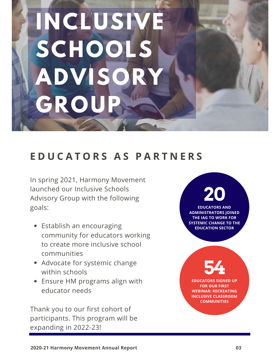## **INCLUSIV SCHOOLS ADVISOR GROUP**

#### **E D U C A T O R S A S P A R T N E R S**

In spring 2021, Harmony Movement launched our Inclusive Schools Advisory Group with the following goals:

- Establish an encouraging community for educators working to create more inclusive school communities
- Advocate for systemic change within schools
- Ensure HM programs align with educator needs

Thank you to our first cohort of participants. This program will be expanding in 2022-23!

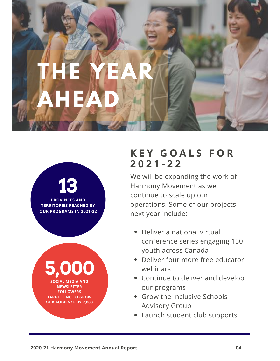



#### **K E Y G O A L S F O R 2 0 2 1 - 2 2**

We will be expanding the work of Harmony Movement as we continue to scale up our operations. Some of our projects next year include:

- Deliver a national virtual conference series engaging 150 youth across Canada
- Deliver four more free educator webinars
- Continue to deliver and develop our programs
- Grow the Inclusive Schools Advisory Group
- Launch student club supports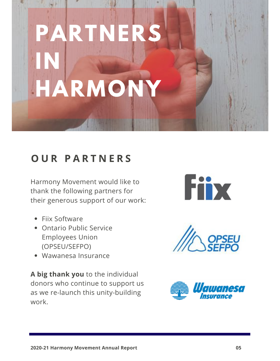### **PARTNERS IN HARMONY**

#### **O U R P A R T N E R S**

Harmony Movement would like to thank the following partners for their generous support of our work:

- Fiix Software
- Ontario Public Service Employees Union (OPSEU/SEFPO)
- Wawanesa Insurance

**A big thank you** to the individual donors who continue to support us as we re-launch this unity-building work.